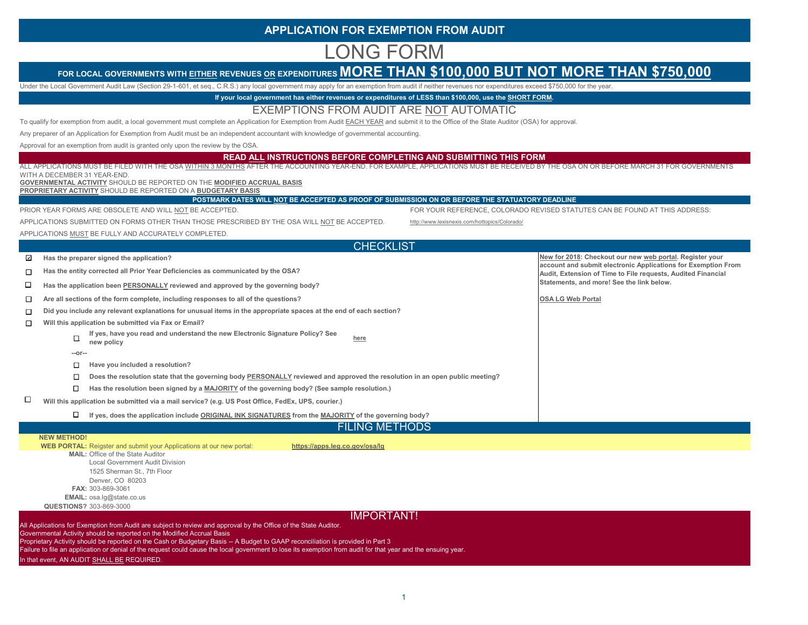# **APPLICATION FOR EXEMPTION FROM AUDIT**

# LONG FORM

# FOR LOCAL GOVERNMENTS WITH EITHER REVENUES OR EXPENDITURES **MORE THAN \$100,000 BUT NOT MORE THAN \$750,000**

Under the Local Government Audit Law (Section 29-1-601, et seq., C.R.S.) any local government may apply for an exemption from audit if neither revenues nor expenditures exceed \$750,000 for the year.

**If your local government has either revenues or expenditures of LESS than \$100,000, use the SHORT FORM.**

### EXEMPTIONS FROM AUDIT ARE NOT AUTOMATIC

To qualify for exemption from audit, a local government must complete an Application for Exemption from Audit EACH YEAR and submit it to the Office of the State Auditor (OSA) for approval.

Any preparer of an Application for Exemption from Audit must be an independent accountant with knowledge of governmental accounting.

Approval for an exemption from audit is granted only upon the review by the OSA.

#### **READ ALL INSTRUCTIONS BEFORE COMPLETING AND SUBMITTING THIS FORM**

|   | ALL APPLICATIONS MUST BE FILED WITH THE OSA WITHIN 3 MONTHS AFTER THE ACCOUNTING YEAR-END. FOR EXAMPLE, APPLICATIONS MUST BE RECEIVED BY THE OSA ON OR BEFORE MARCH 31 FOR GOVERNMENTS                                                                                                           |                                                                                                                           |
|---|--------------------------------------------------------------------------------------------------------------------------------------------------------------------------------------------------------------------------------------------------------------------------------------------------|---------------------------------------------------------------------------------------------------------------------------|
|   | WITH A DECEMBER 31 YEAR-END<br>GOVERNMENTAL ACTIVITY SHOULD BE REPORTED ON THE MODIFIED ACCRUAL BASIS                                                                                                                                                                                            |                                                                                                                           |
|   | PROPRIETARY ACTIVITY SHOULD BE REPORTED ON A BUDGETARY BASIS                                                                                                                                                                                                                                     |                                                                                                                           |
|   | POSTMARK DATES WILL NOT BE ACCEPTED AS PROOF OF SUBMISSION ON OR BEFORE THE STATUATORY DEADLINE                                                                                                                                                                                                  |                                                                                                                           |
|   | PRIOR YEAR FORMS ARE OBSOLETE AND WILL NOT BE ACCEPTED.                                                                                                                                                                                                                                          | FOR YOUR REFERENCE, COLORADO REVISED STATUTES CAN BE FOUND AT THIS ADDRESS:                                               |
|   | APPLICATIONS SUBMITTED ON FORMS OTHER THAN THOSE PRESCRIBED BY THE OSA WILL NOT BE ACCEPTED.                                                                                                                                                                                                     | http://www.lexisnexis.com/hottopics/Colorado/                                                                             |
|   | APPLICATIONS MUST BE FULLY AND ACCURATELY COMPLETED.                                                                                                                                                                                                                                             |                                                                                                                           |
|   | <b>CHECKLIST</b>                                                                                                                                                                                                                                                                                 |                                                                                                                           |
| ⊡ | Has the preparer signed the application?                                                                                                                                                                                                                                                         | New for 2018: Checkout our new web portal. Register your<br>account and submit electronic Applications for Exemption From |
| П | Has the entity corrected all Prior Year Deficiencies as communicated by the OSA?                                                                                                                                                                                                                 | Audit, Extension of Time to File requests, Audited Financial                                                              |
| □ | Has the application been PERSONALLY reviewed and approved by the governing body?                                                                                                                                                                                                                 | Statements, and more! See the link below.                                                                                 |
| □ | Are all sections of the form complete, including responses to all of the questions?                                                                                                                                                                                                              | <b>OSA LG Web Portal</b>                                                                                                  |
| □ | Did you include any relevant explanations for unusual items in the appropriate spaces at the end of each section?                                                                                                                                                                                |                                                                                                                           |
| □ | Will this application be submitted via Fax or Email?                                                                                                                                                                                                                                             |                                                                                                                           |
|   | If yes, have you read and understand the new Electronic Signature Policy? See<br>□<br>here<br>new policy                                                                                                                                                                                         |                                                                                                                           |
|   | --or--                                                                                                                                                                                                                                                                                           |                                                                                                                           |
|   | Have you included a resolution?<br>□                                                                                                                                                                                                                                                             |                                                                                                                           |
|   | Does the resolution state that the governing body PERSONALLY reviewed and approved the resolution in an open public meeting?<br>□                                                                                                                                                                |                                                                                                                           |
|   | Has the resolution been signed by a MAJORITY of the governing body? (See sample resolution.)<br>$\Box$                                                                                                                                                                                           |                                                                                                                           |
| □ | Will this application be submitted via a mail service? (e.g. US Post Office, FedEx, UPS, courier.)                                                                                                                                                                                               |                                                                                                                           |
|   | If yes, does the application include ORIGINAL INK SIGNATURES from the MAJORITY of the governing body?                                                                                                                                                                                            |                                                                                                                           |
|   | <b>FILING METHODS</b>                                                                                                                                                                                                                                                                            |                                                                                                                           |
|   | <b>NEW METHOD!</b><br>WEB PORTAL: Reigster and submit your Applications at our new portal:<br>https://apps.leg.co.gov/osa/lg                                                                                                                                                                     |                                                                                                                           |
|   | <b>MAIL: Office of the State Auditor</b><br><b>Local Government Audit Division</b><br>1525 Sherman St., 7th Floor                                                                                                                                                                                |                                                                                                                           |
|   | Denver, CO 80203<br>FAX: 303-869-3061<br>EMAIL: osa.lg@state.co.us                                                                                                                                                                                                                               |                                                                                                                           |
|   | <b>QUESTIONS? 303-869-3000</b>                                                                                                                                                                                                                                                                   |                                                                                                                           |
|   | <b>IMPORTANT!</b>                                                                                                                                                                                                                                                                                |                                                                                                                           |
|   | All Applications for Exemption from Audit are subject to review and approval by the Office of the State Auditor.<br>Governmental Activity should be reported on the Modified Accrual Basis                                                                                                       |                                                                                                                           |
|   | Proprietary Activity should be reported on the Cash or Budgetary Basis -- A Budget to GAAP reconciliation is provided in Part 3<br>Failure to file an application or denial of the request could cause the local government to lose its exemption from audit for that year and the ensuing year. |                                                                                                                           |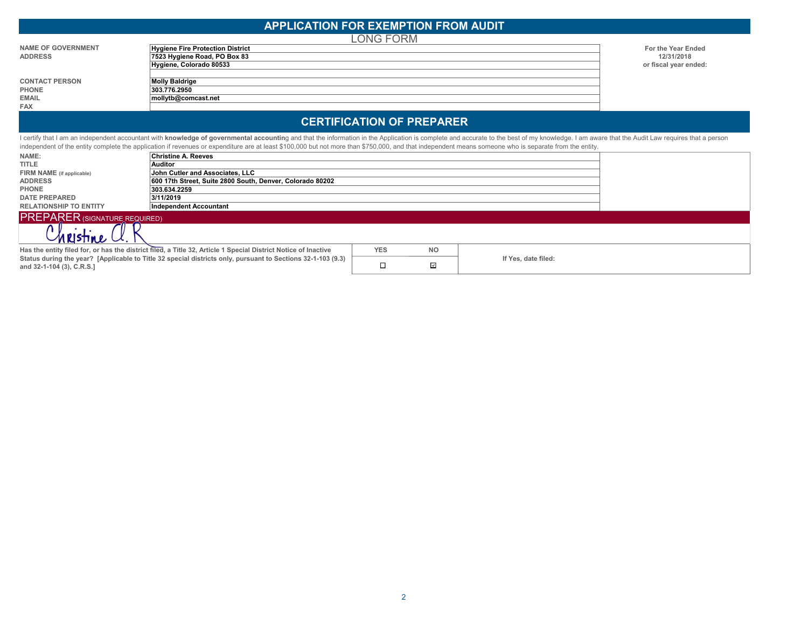|                                      | <b>APPLICATION FOR EXEMPTION FROM AUDIT</b>                                                                                                                                                                                    |                                  |           |                       |
|--------------------------------------|--------------------------------------------------------------------------------------------------------------------------------------------------------------------------------------------------------------------------------|----------------------------------|-----------|-----------------------|
|                                      |                                                                                                                                                                                                                                | _ONG FORM                        |           |                       |
| <b>NAME OF GOVERNMENT</b>            | Hygiene Fire Protection District                                                                                                                                                                                               |                                  |           | For the Year Ended    |
| <b>ADDRESS</b>                       | 7523 Hygiene Road, PO Box 83                                                                                                                                                                                                   |                                  |           | 12/31/2018            |
|                                      | Hygiene, Colorado 80533                                                                                                                                                                                                        |                                  |           | or fiscal year ended: |
| <b>CONTACT PERSON</b>                | <b>Molly Baldrige</b>                                                                                                                                                                                                          |                                  |           |                       |
| <b>PHONE</b>                         | 303.776.2950                                                                                                                                                                                                                   |                                  |           |                       |
| <b>EMAIL</b>                         | mollytb@comcast.net                                                                                                                                                                                                            |                                  |           |                       |
| <b>FAX</b>                           |                                                                                                                                                                                                                                |                                  |           |                       |
|                                      |                                                                                                                                                                                                                                | <b>CERTIFICATION OF PREPARER</b> |           |                       |
|                                      | I certify that I am an independent accountant with knowledge of governmental accounting and that the information in the Application is complete and accurate to the best of my knowledge. I am aware that the Audit Law requir |                                  |           |                       |
|                                      | independent of the entity complete the application if revenues or expenditure are at least \$100,000 but not more than \$750,000, and that independent means someone who is separate from the entity.                          |                                  |           |                       |
| NAME:                                | Christine A. Reeves                                                                                                                                                                                                            |                                  |           |                       |
| <b>TITLE</b>                         | Auditor                                                                                                                                                                                                                        |                                  |           |                       |
| FIRM NAME (if applicable)            | John Cutler and Associates, LLC                                                                                                                                                                                                |                                  |           |                       |
| <b>ADDRESS</b>                       | 600 17th Street, Suite 2800 South, Denver, Colorado 80202                                                                                                                                                                      |                                  |           |                       |
| <b>PHONE</b>                         | 303.634.2259                                                                                                                                                                                                                   |                                  |           |                       |
| <b>DATE PREPARED</b>                 | 3/11/2019                                                                                                                                                                                                                      |                                  |           |                       |
| <b>RELATIONSHIP TO ENTITY</b>        | <b>Independent Accountant</b>                                                                                                                                                                                                  |                                  |           |                       |
| <b>PREPARER (SIGNATURE REQUIRED)</b> |                                                                                                                                                                                                                                |                                  |           |                       |
|                                      |                                                                                                                                                                                                                                |                                  |           |                       |
|                                      | Has the entity filed for, or has the district filed, a Title 32, Article 1 Special District Notice of Inactive                                                                                                                 | <b>YES</b>                       | <b>NO</b> |                       |

 $\Box$ 

 $\overline{\phantom{a}}$ 

**If Yes, date filed:**

**Status during the year? [Applicable to Title 32 special districts only, pursuant to Sections 32-1-103 (9.3)** 

**and 32-1-104 (3), C.R.S.]**

2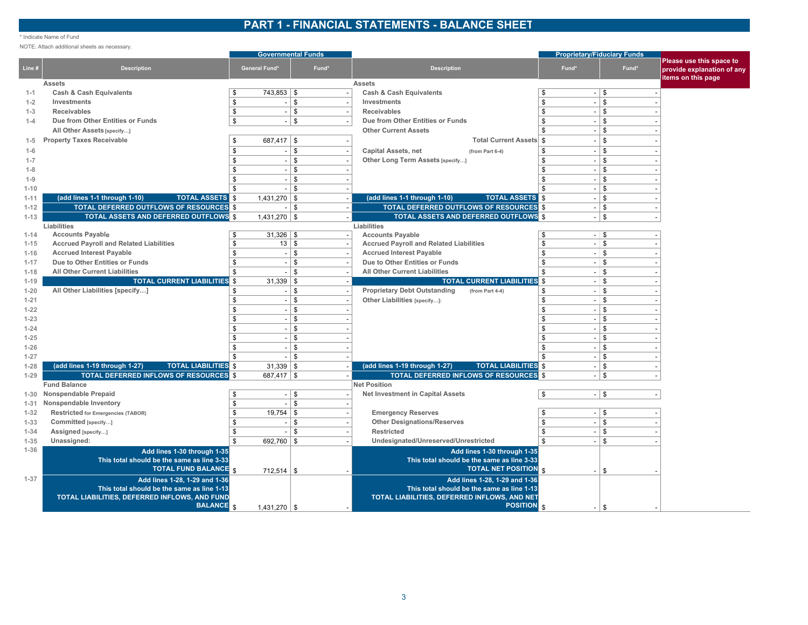## **PART 1 - FINANCIAL STATEMENTS - BALANCE SHEET**

#### \* Indicate Name of Fund

NOTE: Attach additional sheets as necessary.

|                      |                                                                                             |                                            | <b>Governmental Funds</b> |                                                                                            |                      | <b>Proprietary/Fiduciary Funds</b> |                                                                              |
|----------------------|---------------------------------------------------------------------------------------------|--------------------------------------------|---------------------------|--------------------------------------------------------------------------------------------|----------------------|------------------------------------|------------------------------------------------------------------------------|
| Line #               | <b>Description</b>                                                                          | <b>General Fund*</b>                       | Fund*                     | <b>Description</b>                                                                         | Fund*                | Fund*                              | Please use this space to<br>provide explanation of any<br>items on this page |
|                      | <b>Assets</b>                                                                               |                                            |                           | <b>Assets</b>                                                                              |                      |                                    |                                                                              |
| $1 - 1$              | <b>Cash &amp; Cash Equivalents</b>                                                          | $743,853$ \$<br>\$                         |                           | <b>Cash &amp; Cash Equivalents</b>                                                         | \$                   | $-1$ \$                            |                                                                              |
| $1 - 2$              | Investments                                                                                 | \$<br>$\sim$                               | $\mathfrak s$             | Investments                                                                                | \$                   | $-1$ \$                            |                                                                              |
| $1 - 3$              | <b>Receivables</b>                                                                          | \$<br>$\sim$                               | $\mathfrak s$             | <b>Receivables</b>                                                                         | \$                   | $-1$ \$                            |                                                                              |
| $1 - 4$              | Due from Other Entities or Funds                                                            | \$<br>$\sim$                               | $\mathbb{S}$              | Due from Other Entities or Funds                                                           | $\mathbf{\$}$        | \$                                 |                                                                              |
|                      | All Other Assets [specify]                                                                  |                                            |                           | <b>Other Current Assets</b>                                                                | $\mathfrak{L}$       | \$                                 |                                                                              |
| $1-5$                | <b>Property Taxes Receivable</b>                                                            | $687,417$ \$<br>\$                         |                           | <b>Total Current Assets</b>                                                                | $\mathfrak{S}$       | $\sqrt[6]{\frac{1}{2}}$            |                                                                              |
| $1 - 6$              |                                                                                             | $\mathfrak{L}$<br>$\overline{\phantom{a}}$ | \$                        | <b>Capital Assets, net</b><br>(from Part 6-4)                                              | \$                   | $\mathfrak s$                      |                                                                              |
| $1 - 7$              |                                                                                             | \$.<br>$\sim$                              | \$                        | Other Long Term Assets [specify]                                                           | \$                   | $\mathfrak s$                      |                                                                              |
| $1 - 8$              |                                                                                             | $\blacksquare$                             | \$                        |                                                                                            | \$                   | \$                                 |                                                                              |
| $1 - 9$              |                                                                                             | \$.<br>$\sim$                              | \$                        |                                                                                            | \$<br>. <b>1</b>     | <b>S</b>                           |                                                                              |
| $1 - 10$             |                                                                                             | \$<br>$\blacksquare$                       | \$                        |                                                                                            | \$<br>$\overline{a}$ | \$                                 |                                                                              |
| $1 - 11$             | (add lines 1-1 through 1-10)<br><b>TOTAL ASSETS</b> \$                                      | $1,431,270$ \\$                            |                           | (add lines 1-1 through 1-10)<br><b>TOTAL ASSETS</b> \$                                     |                      | $-1$ \$                            |                                                                              |
| $1 - 12$             | <b>TOTAL DEFERRED OUTFLOWS OF RESOURCES \$</b>                                              | $\blacksquare$                             | -S                        | <b>TOTAL DEFERRED OUTFLOWS OF RESOURCES</b> \$                                             |                      | $-1$ \$                            |                                                                              |
| $1 - 13$             | <b>TOTAL ASSETS AND DEFERRED OUTFLOWS \$</b>                                                | $1,431,270$ \$                             |                           | TOTAL ASSETS AND DEFERRED OUTFLOWS \$                                                      |                      | -1\$                               |                                                                              |
|                      | Liabilities                                                                                 |                                            |                           | Liabilities                                                                                |                      |                                    |                                                                              |
| $1 - 14$             | <b>Accounts Payable</b>                                                                     | $31,326$ \$<br>\$                          |                           | <b>Accounts Payable</b>                                                                    | $\overline{\$}$      | $-$ \$                             |                                                                              |
| $1 - 15$             | <b>Accrued Payroll and Related Liabilities</b>                                              | \$                                         | 13   \$                   | <b>Accrued Payroll and Related Liabilities</b>                                             | \$                   | $-$ \$                             |                                                                              |
| $1 - 16$             | <b>Accrued Interest Payable</b>                                                             | \$<br>$\overline{\phantom{a}}$             | \$                        | <b>Accrued Interest Payable</b>                                                            | \$                   | $-$ \$                             |                                                                              |
| $1 - 17$             | Due to Other Entities or Funds                                                              | $\mathfrak{L}$<br>$\blacksquare$           | $\mathfrak{S}$            | Due to Other Entities or Funds                                                             | \$                   | $-$ \$                             |                                                                              |
| $1 - 18$             | <b>All Other Current Liabilities</b>                                                        | $\mathfrak{L}$<br>$\sim$                   | $\mathbb{S}$              | <b>All Other Current Liabilities</b>                                                       | \$                   | $-1$ \$                            |                                                                              |
| $1 - 19$             | <b>TOTAL CURRENT LIABILITIES \$</b>                                                         | 31,339                                     | \$                        | <b>TOTAL CURRENT LIABILITIES</b> \$                                                        |                      | $-$ \$                             |                                                                              |
| $1 - 20$             | All Other Liabilities [specify]                                                             | \$<br>$\sim$                               | \$                        | <b>Proprietary Debt Outstanding</b><br>(from Part 4-4)                                     | \$                   | $-$ \$                             |                                                                              |
| $1 - 21$             |                                                                                             | \$<br>$\sim$                               | \$                        | Other Liabilities [specify]:                                                               | \$                   | $-1$ \$                            |                                                                              |
| $1 - 22$             |                                                                                             | $\mathfrak{L}$<br>$\sim$                   | \$                        |                                                                                            | \$                   | $-1$ \$                            |                                                                              |
| $1 - 23$             |                                                                                             | $\overline{a}$                             | $\mathbf{\hat{s}}$        |                                                                                            | \$                   | $\mathbb{S}$                       |                                                                              |
| $1 - 24$             |                                                                                             | \$<br>$\sim$                               | \$                        |                                                                                            | \$                   | \$                                 |                                                                              |
| $1 - 25$             |                                                                                             | \$                                         | \$                        |                                                                                            | \$                   | \$                                 |                                                                              |
| $1 - 26$             |                                                                                             | \$<br>$\sim$                               | \$                        |                                                                                            | \$                   | \$                                 |                                                                              |
| $1 - 27$             |                                                                                             |                                            | <b>S</b>                  |                                                                                            | \$                   | \$                                 |                                                                              |
| $1 - 28$             | (add lines 1-19 through 1-27)<br><b>TOTAL LIABILITIES \$</b>                                | $31,339$ \ \$                              |                           | (add lines 1-19 through 1-27)<br><b>TOTAL LIABILITIES</b> S                                | $\overline{a}$       | <b>S</b>                           |                                                                              |
| $1 - 29$             | <b>TOTAL DEFERRED INFLOWS OF RESOURCES</b> \$                                               | $687,417$ \$                               |                           | <b>TOTAL DEFERRED INFLOWS OF RESOURCES</b>                                                 |                      | \$                                 |                                                                              |
|                      | <b>Fund Balance</b>                                                                         |                                            |                           | <b>Net Position</b>                                                                        |                      |                                    |                                                                              |
| 1-30                 | Nonspendable Prepaid                                                                        | $\overline{a}$<br>\$                       | \$                        | Net Investment in Capital Assets                                                           | \$                   | $-1$ \$                            |                                                                              |
| $1 - 31$             | Nonspendable Inventory                                                                      | $\sim$                                     | \$<br>\$                  |                                                                                            | \$                   | $-1$ \$                            |                                                                              |
| $1 - 32$             | <b>Restricted for Emergencies (TABOR)</b>                                                   | 19,754<br>\$                               | \$                        | <b>Emergency Reserves</b><br><b>Other Designations/Reserves</b>                            | \$                   | $\mathfrak{S}$                     |                                                                              |
| $1 - 33$             | Committed [specify]                                                                         | $\blacksquare$                             |                           | <b>Restricted</b>                                                                          | $-1$<br>\$           |                                    |                                                                              |
| $1 - 34$             | Assigned [specify]                                                                          | \$                                         | \$<br>\$                  |                                                                                            | $\mathfrak{L}$       | \$<br>\$                           |                                                                              |
| $1 - 35$<br>$1 - 36$ | Unassigned:                                                                                 | 692,760                                    |                           | Undesignated/Unreserved/Unrestricted                                                       | $\sim$               |                                    |                                                                              |
|                      | Add lines 1-30 through 1-35<br>This total should be the same as line 3-33                   |                                            |                           | Add lines 1-30 through 1-35<br>This total should be the same as line 3-33                  |                      |                                    |                                                                              |
|                      | <b>TOTAL FUND BALANCE R</b>                                                                 |                                            |                           | <b>TOTAL NET POSITION \$</b>                                                               |                      |                                    |                                                                              |
|                      |                                                                                             | 712,514                                    | \$                        |                                                                                            | $\sim$               | \$                                 |                                                                              |
| $1 - 37$             | Add lines 1-28, 1-29 and 1-36                                                               |                                            |                           | Add lines 1-28, 1-29 and 1-36                                                              |                      |                                    |                                                                              |
|                      | This total should be the same as line 1-13<br>TOTAL LIABILITIES, DEFERRED INFLOWS, AND FUND |                                            |                           | This total should be the same as line 1-13<br>TOTAL LIABILITIES, DEFERRED INFLOWS, AND NET |                      |                                    |                                                                              |
|                      | <b>BALANCE</b> <sub>\$</sub>                                                                | 1.431.270                                  | \$                        | <b>POSITION</b> \$                                                                         | $\sim$ 1             | \$                                 |                                                                              |
|                      |                                                                                             |                                            |                           |                                                                                            |                      |                                    |                                                                              |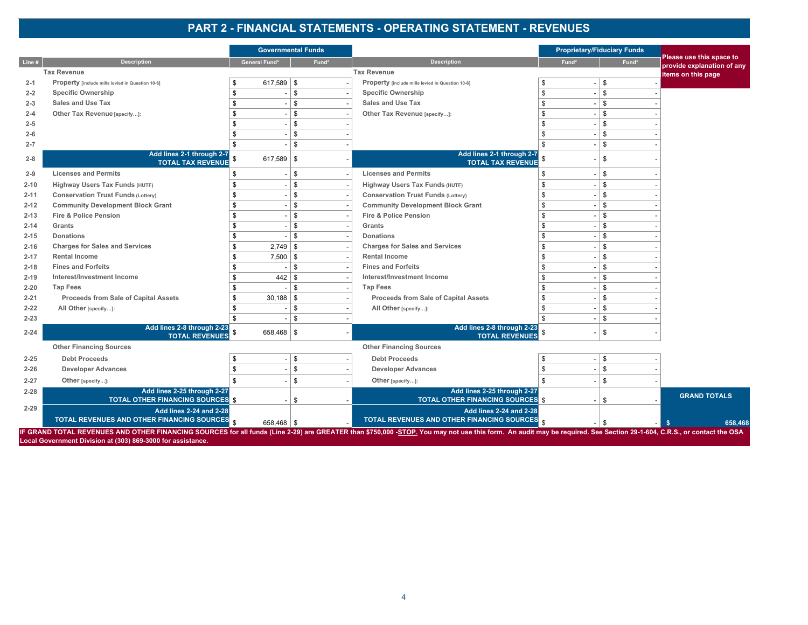# **PART 2 - FINANCIAL STATEMENTS - OPERATING STATEMENT - REVENUES**

|          |                                                                                |                      | <b>Governmental Funds</b> |                                                                                                                                                                                                                       |               | <b>Proprietary/Fiduciary Funds</b> |                                                        |
|----------|--------------------------------------------------------------------------------|----------------------|---------------------------|-----------------------------------------------------------------------------------------------------------------------------------------------------------------------------------------------------------------------|---------------|------------------------------------|--------------------------------------------------------|
| Line #   | <b>Description</b>                                                             | <b>General Fund*</b> | Fund*                     | <b>Description</b>                                                                                                                                                                                                    | Fund*         | Fund*                              | Please use this space to<br>provide explanation of any |
|          | <b>Tax Revenue</b>                                                             |                      |                           | <b>Tax Revenue</b>                                                                                                                                                                                                    |               |                                    | items on this page                                     |
| $2 - 1$  | Property [include mills levied in Question 10-6]                               | $617,589$ \$         |                           | Property [include mills levied in Question 10-6]                                                                                                                                                                      | \$            | \$                                 |                                                        |
| $2 - 2$  | <b>Specific Ownership</b>                                                      | \$                   | \$                        | <b>Specific Ownership</b>                                                                                                                                                                                             | \$            | \$                                 |                                                        |
| $2 - 3$  | <b>Sales and Use Tax</b>                                                       | \$                   | \$                        | Sales and Use Tax                                                                                                                                                                                                     | \$            | \$                                 |                                                        |
| $2 - 4$  | Other Tax Revenue [specify]:                                                   | $\mathfrak{L}$       | $$\mathbbmss{}$           | Other Tax Revenue [specify]:                                                                                                                                                                                          | \$            | $\mathbb{S}$                       |                                                        |
| $2 - 5$  |                                                                                | \$                   | \$                        |                                                                                                                                                                                                                       | \$            | \$                                 |                                                        |
| $2 - 6$  |                                                                                | \$                   | \$                        |                                                                                                                                                                                                                       | \$            | \$                                 |                                                        |
| $2 - 7$  |                                                                                |                      | \$                        |                                                                                                                                                                                                                       | \$            | $\mathbf{\$}$                      |                                                        |
| $2 - 8$  | Add lines 2-1 through 2-7<br><b>TOTAL TAX REVENUE</b>                          | $617,589$ \$         |                           | Add lines 2-1 through 2-7<br><b>TOTAL TAX REVENUE</b>                                                                                                                                                                 |               | \$                                 |                                                        |
| $2 - 9$  | <b>Licenses and Permits</b>                                                    | \$                   | \$                        | <b>Licenses and Permits</b>                                                                                                                                                                                           | \$            | Ŝ                                  |                                                        |
| $2 - 10$ | <b>Highway Users Tax Funds (HUTF)</b>                                          | \$                   | \$                        | Highway Users Tax Funds (HUTF)                                                                                                                                                                                        | \$            | Ŝ.                                 |                                                        |
| $2 - 11$ | <b>Conservation Trust Funds (Lottery)</b>                                      | \$                   | \$                        | <b>Conservation Trust Funds (Lottery)</b>                                                                                                                                                                             | \$            | -S                                 |                                                        |
| $2 - 12$ | <b>Community Development Block Grant</b>                                       | \$                   | \$                        | <b>Community Development Block Grant</b>                                                                                                                                                                              | \$            | Ŝ                                  |                                                        |
| $2 - 13$ | <b>Fire &amp; Police Pension</b>                                               | \$.                  | $\$$                      | <b>Fire &amp; Police Pension</b>                                                                                                                                                                                      | \$            | \$                                 |                                                        |
| $2 - 14$ | Grants                                                                         | \$                   | $\$$                      | Grants                                                                                                                                                                                                                | \$            | \$                                 |                                                        |
| $2 - 15$ | <b>Donations</b>                                                               |                      | \$                        | <b>Donations</b>                                                                                                                                                                                                      | \$            | $\mathbf{\$}$                      |                                                        |
| $2 - 16$ | <b>Charges for Sales and Services</b>                                          | 2,749                | \$                        | <b>Charges for Sales and Services</b>                                                                                                                                                                                 | $\sqrt[6]{3}$ | \$                                 |                                                        |
| $2 - 17$ | <b>Rental Income</b>                                                           | $7,500$ \$           |                           | <b>Rental Income</b>                                                                                                                                                                                                  | \$            | $\mathbf{\$}$                      |                                                        |
| $2 - 18$ | <b>Fines and Forfeits</b>                                                      |                      | \$                        | <b>Fines and Forfeits</b>                                                                                                                                                                                             | \$            | $\mathbf{\$}$                      |                                                        |
| $2 - 19$ | Interest/Investment Income                                                     | 442                  | \$                        | Interest/Investment Income                                                                                                                                                                                            | \$            | \$                                 |                                                        |
| $2 - 20$ | <b>Tap Fees</b>                                                                |                      | \$                        | <b>Tap Fees</b>                                                                                                                                                                                                       | \$            | \$                                 |                                                        |
| $2 - 21$ | Proceeds from Sale of Capital Assets                                           | $30,188$ \$          |                           | Proceeds from Sale of Capital Assets                                                                                                                                                                                  | \$            | \$                                 |                                                        |
| $2 - 22$ | All Other [specify]:                                                           |                      | \$                        | All Other [specify]:                                                                                                                                                                                                  | \$            | \$                                 |                                                        |
| $2 - 23$ |                                                                                | $\mathfrak{L}$       | \$                        |                                                                                                                                                                                                                       | \$            | \$                                 |                                                        |
| $2 - 24$ | Add lines 2-8 through 2-23<br><b>TOTAL REVENUES</b>                            | $658,468$ \ \$       |                           | Add lines 2-8 through 2-23<br><b>TOTAL REVENUES</b>                                                                                                                                                                   |               | \$                                 |                                                        |
|          | <b>Other Financing Sources</b>                                                 |                      |                           | <b>Other Financing Sources</b>                                                                                                                                                                                        |               |                                    |                                                        |
| $2 - 25$ | <b>Debt Proceeds</b>                                                           |                      | \$                        | <b>Debt Proceeds</b>                                                                                                                                                                                                  | \$            | \$                                 |                                                        |
| $2 - 26$ | <b>Developer Advances</b>                                                      | \$                   | $$\mathbb{S}$$            | <b>Developer Advances</b>                                                                                                                                                                                             | \$            | \$                                 |                                                        |
| $2 - 27$ | Other [specify]:                                                               |                      | $\$$                      | Other [specify]:                                                                                                                                                                                                      | \$            | Ŝ.                                 |                                                        |
| $2 - 28$ | Add lines 2-25 through 2-27<br><b>TOTAL OTHER FINANCING SOURCES \$</b>         |                      | \$                        | Add lines 2-25 through 2-27<br><b>TOTAL OTHER FINANCING SOURCES</b> \$                                                                                                                                                |               | \$                                 | <b>GRAND TOTALS</b>                                    |
| $2 - 29$ | <b>Add lines 2-24 and 2-28</b><br>TOTAL REVENUES AND OTHER FINANCING SOURCES S | $658,468$ \$         |                           | <b>Add lines 2-24 and 2-28</b><br>TOTAL REVENUES AND OTHER FINANCING SOURCES S                                                                                                                                        |               | \$                                 | 658,468                                                |
|          | Local Government Division at (303) 869-3000 for assistance.                    |                      |                           | IF GRAND TOTAL REVENUES AND OTHER FINANCING SOURCES for all funds (Line 2-29) are GREATER than \$750,000 -STOP. You may not use this form. An audit may be required. See Section 29-1-604, C.R.S., or contact the OSA |               |                                    |                                                        |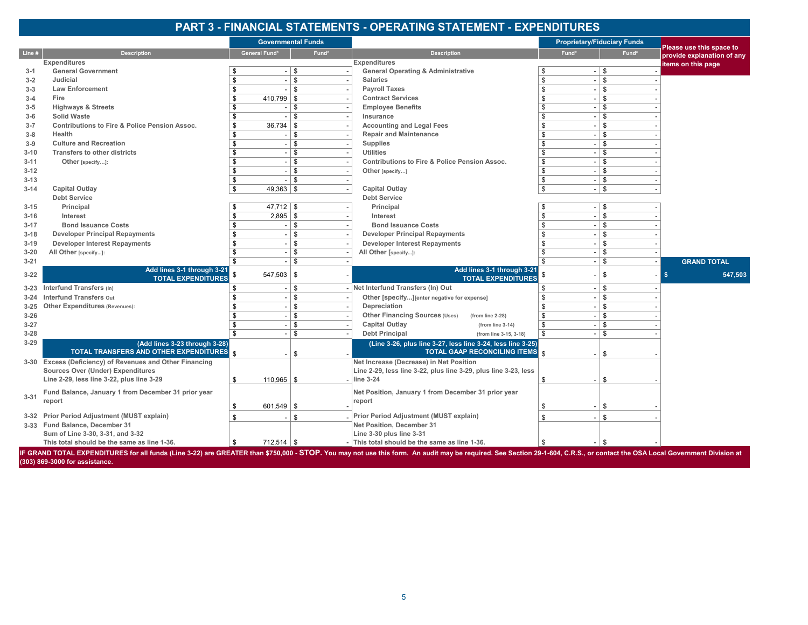# **PART 3 - FINANCIAL STATEMENTS - OPERATING STATEMENT - EXPENDITURES**

|                                                   |                                                                         |                    | <b>Governmental Funds</b> |                                                                                                                                                                                                                             |                                            | <b>Proprietary/Fiduciary Funds</b> | Please use this space to   |         |
|---------------------------------------------------|-------------------------------------------------------------------------|--------------------|---------------------------|-----------------------------------------------------------------------------------------------------------------------------------------------------------------------------------------------------------------------------|--------------------------------------------|------------------------------------|----------------------------|---------|
| Line #                                            | <b>Description</b>                                                      | General Fund*      | Fund*                     | <b>Description</b>                                                                                                                                                                                                          | Fund*                                      | Fund*                              | provide explanation of any |         |
| <b>Expenditures</b>                               |                                                                         |                    |                           | <b>Expenditures</b>                                                                                                                                                                                                         |                                            |                                    | items on this page         |         |
| <b>General Government</b><br>$3 - 1$              |                                                                         |                    | \$                        | <b>General Operating &amp; Administrative</b>                                                                                                                                                                               | \$<br>$\overline{\phantom{a}}$             | \$                                 |                            |         |
| Judicial<br>$3 - 2$                               |                                                                         | \$                 | \$                        | <b>Salaries</b>                                                                                                                                                                                                             | \$<br>$\overline{\phantom{a}}$             | \$                                 |                            |         |
| <b>Law Enforcement</b><br>$3 - 3$                 |                                                                         | \$                 | \$                        | <b>Payroll Taxes</b>                                                                                                                                                                                                        | \$<br>$\overline{\phantom{a}}$             | \$                                 |                            |         |
| Fire<br>$3 - 4$                                   |                                                                         | $410,799$ \$<br>\$ |                           | <b>Contract Services</b>                                                                                                                                                                                                    | \$<br>$\overline{\phantom{a}}$             | \$                                 |                            |         |
| <b>Highways &amp; Streets</b><br>$3 - 5$          |                                                                         | \$                 | \$                        | <b>Employee Benefits</b>                                                                                                                                                                                                    | $\mathbf{\$}$<br>$\overline{\phantom{a}}$  | \$                                 |                            |         |
| <b>Solid Waste</b><br>$3-6$                       |                                                                         | \$                 | \$                        | Insurance                                                                                                                                                                                                                   | \$<br>$\overline{\phantom{a}}$             | \$                                 |                            |         |
| $3 - 7$                                           | Contributions to Fire & Police Pension Assoc.                           | \$<br>36,734       | \$                        | <b>Accounting and Legal Fees</b>                                                                                                                                                                                            | \$<br>$\blacksquare$                       | \$                                 |                            |         |
| Health<br>$3 - 8$                                 |                                                                         | \$                 | \$                        | <b>Repair and Maintenance</b>                                                                                                                                                                                               | \$<br>$\sim$                               | \$                                 |                            |         |
| <b>Culture and Recreation</b><br>$3-9$            |                                                                         | \$                 | \$                        | <b>Supplies</b>                                                                                                                                                                                                             | \$<br>$\blacksquare$                       | \$                                 |                            |         |
| $3 - 10$                                          | <b>Transfers to other districts</b>                                     | \$                 | \$                        | <b>Utilities</b>                                                                                                                                                                                                            | \$<br>$\blacksquare$                       | \$                                 |                            |         |
| $3 - 11$<br>Other [specify]:                      |                                                                         | \$                 | \$                        | <b>Contributions to Fire &amp; Police Pension Assoc.</b>                                                                                                                                                                    | \$                                         | \$                                 |                            |         |
| $3 - 12$                                          |                                                                         | \$                 | \$                        | Other [specify]                                                                                                                                                                                                             | \$<br>$\overline{\phantom{a}}$             | \$                                 |                            |         |
| $3 - 13$                                          |                                                                         | \$                 | \$                        |                                                                                                                                                                                                                             | \$<br>$\overline{\phantom{a}}$             | \$                                 |                            |         |
| <b>Capital Outlay</b><br>$3 - 14$                 |                                                                         | $49,363$ \$<br>\$  |                           | <b>Capital Outlay</b>                                                                                                                                                                                                       | \$<br>$\overline{\phantom{a}}$             | \$                                 |                            |         |
| <b>Debt Service</b>                               |                                                                         |                    |                           | <b>Debt Service</b>                                                                                                                                                                                                         |                                            |                                    |                            |         |
| Principal<br>$3 - 15$                             |                                                                         | $47,712$ \$        |                           | Principal                                                                                                                                                                                                                   | \$<br>$\overline{\phantom{a}}$             | \$                                 |                            |         |
| $3 - 16$<br>Interest                              |                                                                         | $2,895$ \$<br>\$   |                           | Interest                                                                                                                                                                                                                    | \$<br>$\overline{\phantom{a}}$             | \$                                 |                            |         |
| $3 - 17$                                          | <b>Bond Issuance Costs</b>                                              | \$                 | \$                        | <b>Bond Issuance Costs</b>                                                                                                                                                                                                  | \$<br>$\overline{\phantom{a}}$             | \$                                 |                            |         |
| $3 - 18$                                          | <b>Developer Principal Repayments</b>                                   | \$                 | \$                        | <b>Developer Principal Repayments</b>                                                                                                                                                                                       | \$<br>$\blacksquare$                       | \$                                 |                            |         |
| $3 - 19$                                          | <b>Developer Interest Repayments</b>                                    | \$                 | \$                        | <b>Developer Interest Repayments</b>                                                                                                                                                                                        | $\mathbf{\$}$<br>$\overline{\phantom{a}}$  | \$                                 |                            |         |
| All Other [specify]:<br>$3 - 20$                  |                                                                         | \$                 | \$                        | All Other [specify]:                                                                                                                                                                                                        | \$                                         | \$                                 |                            |         |
| $3 - 21$                                          |                                                                         | \$                 | \$                        |                                                                                                                                                                                                                             | $\mathfrak{L}$<br>$\overline{\phantom{a}}$ | \$                                 | <b>GRAND TOTAL</b>         |         |
| $3 - 22$                                          | Add lines 3-1 through 3-21<br><b>TOTAL EXPENDITURES</b>                 | $547,503$ \ \$     |                           | Add lines 3-1 through 3-21<br><b>TOTAL EXPENDITURES</b>                                                                                                                                                                     |                                            | \$                                 | \$                         | 547,503 |
| Interfund Transfers (In)<br>$3 - 23$              |                                                                         | \$                 | \$                        | Net Interfund Transfers (In) Out                                                                                                                                                                                            | \$                                         | \$                                 |                            |         |
| <b>Interfund Transfers out</b><br>$3 - 24$        |                                                                         | \$                 | $\overline{\mathsf{s}}$   | Other [specify][enter negative for expense]                                                                                                                                                                                 | \$<br>$\overline{\phantom{a}}$             | \$                                 |                            |         |
| <b>Other Expenditures (Revenues):</b><br>$3 - 25$ |                                                                         | \$                 | \$                        | Depreciation                                                                                                                                                                                                                | \$<br>$\overline{\phantom{a}}$             | \$                                 |                            |         |
| $3 - 26$                                          |                                                                         | \$                 | \$                        | Other Financing Sources (Uses)<br>(from line 2-28)                                                                                                                                                                          | \$<br>$\sim$                               | \$                                 |                            |         |
| $3 - 27$                                          |                                                                         | \$                 | \$                        | <b>Capital Outlay</b><br>(from line 3-14)                                                                                                                                                                                   | \$<br>$\overline{\phantom{a}}$             | \$                                 |                            |         |
| $3 - 28$                                          |                                                                         | $\mathfrak{L}$     | \$                        | <b>Debt Principal</b><br>(from line 3-15, 3-18)                                                                                                                                                                             | \$                                         | \$                                 |                            |         |
| $3 - 29$                                          | (Add lines 3-23 through 3-28)<br>TOTAL TRANSFERS AND OTHER EXPENDITURES |                    | \$                        | (Line 3-26, plus line 3-27, less line 3-24, less line 3-25)<br><b>TOTAL GAAP RECONCILING ITEMS</b> \$                                                                                                                       |                                            | \$.                                |                            |         |
|                                                   | 3-30 Excess (Deficiency) of Revenues and Other Financing                |                    |                           | Net Increase (Decrease) in Net Position                                                                                                                                                                                     |                                            |                                    |                            |         |
|                                                   | <b>Sources Over (Under) Expenditures</b>                                |                    |                           | Line 2-29, less line 3-22, plus line 3-29, plus line 3-23, less                                                                                                                                                             |                                            |                                    |                            |         |
|                                                   | Line 2-29, less line 3-22, plus line 3-29                               | $110,965$ \$<br>\$ |                           | line 3-24                                                                                                                                                                                                                   | \$                                         | \$                                 |                            |         |
|                                                   |                                                                         |                    |                           |                                                                                                                                                                                                                             |                                            |                                    |                            |         |
| $3 - 31$                                          | Fund Balance, January 1 from December 31 prior year                     |                    |                           | Net Position, January 1 from December 31 prior year                                                                                                                                                                         |                                            |                                    |                            |         |
| report                                            |                                                                         | \$<br>$601,549$ \$ |                           | report                                                                                                                                                                                                                      | \$                                         | \$                                 |                            |         |
|                                                   | 3-32 Prior Period Adjustment (MUST explain)                             | \$                 | \$                        | Prior Period Adjustment (MUST explain)                                                                                                                                                                                      | \$                                         | \$                                 |                            |         |
| 3-33 Fund Balance, December 31                    |                                                                         |                    |                           | Net Position, December 31                                                                                                                                                                                                   |                                            |                                    |                            |         |
|                                                   | Sum of Line 3-30, 3-31, and 3-32                                        |                    |                           | Line 3-30 plus line 3-31                                                                                                                                                                                                    |                                            |                                    |                            |         |
|                                                   | This total should be the same as line 1-36.                             | $712,514$ \$<br>\$ |                           | - This total should be the same as line 1-36.                                                                                                                                                                               | \$                                         |                                    |                            |         |
|                                                   |                                                                         |                    |                           | IF GRAND TOTAL EXPENDITURES for all funds (Line 3-22) are GREATER than \$750,000 - STOP. You may not use this form. An audit may be required. See Section 29-1-604, C.R.S., or contact the OSA Local Government Division at |                                            |                                    |                            |         |

**(303) 869-3000 for assistance.**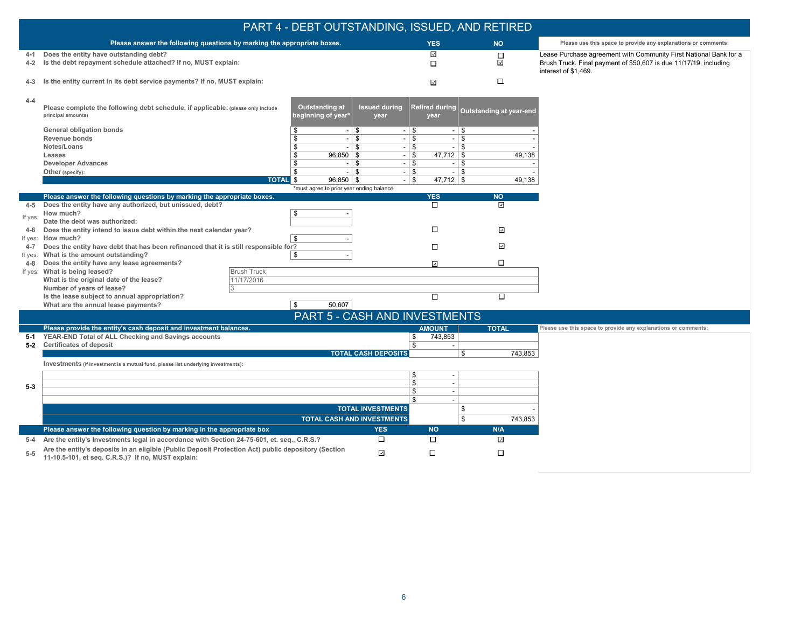|         |                                                                                                                                                           | PART 4 - DEBT OUTSTANDING, ISSUED, AND RETIRED                              |                                       |                          |                                                                                           |
|---------|-----------------------------------------------------------------------------------------------------------------------------------------------------------|-----------------------------------------------------------------------------|---------------------------------------|--------------------------|-------------------------------------------------------------------------------------------|
|         | Please answer the following questions by marking the appropriate boxes.                                                                                   |                                                                             | <b>YES</b>                            | <b>NO</b>                | Please use this space to provide any explanations or comments:                            |
| 4-1     | Does the entity have outstanding debt?                                                                                                                    |                                                                             | ⊡                                     | $\Box$                   | Lease Purchase agreement with Community First National Bank for a                         |
| $4 - 2$ | Is the debt repayment schedule attached? If no, MUST explain:                                                                                             |                                                                             | $\Box$                                | $\overline{\phantom{a}}$ | Brush Truck. Final payment of \$50,607 is due 11/17/19, including<br>interest of \$1,469. |
| 4-3     | Is the entity current in its debt service payments? If no, MUST explain:                                                                                  |                                                                             | $\checkmark$                          | $\Box$                   |                                                                                           |
| $4 - 4$ | Please complete the following debt schedule, if applicable: (please only include<br>principal amounts)                                                    | <b>Outstanding at</b><br><b>Issued during</b><br>beginning of year*<br>year | <b>Retired during</b><br>year         | Outstanding at year-end  |                                                                                           |
|         | General obligation bonds<br>\$                                                                                                                            | $-1$ \$                                                                     | $-1$ \$<br>$-1$ \$                    |                          |                                                                                           |
|         | \$<br>Revenue bonds<br>Notes/Loans<br>\$                                                                                                                  | $-1$ \$<br>l \$                                                             | $ \sqrt{ }$<br>  \$<br>$\overline{a}$ |                          |                                                                                           |
|         | \$<br>Leases                                                                                                                                              | 96,850   \$                                                                 | l \$<br>$-1$ \$<br>$\sim$<br>$-1$ \$  | 49,138                   |                                                                                           |
|         | <b>Developer Advances</b><br>\$                                                                                                                           | $-1$ \$                                                                     | $-1$ \$<br>$-1$ \$                    |                          |                                                                                           |
|         | \$<br>Other (specify):                                                                                                                                    | l \$<br>$\sim$                                                              | $ \sqrt{ }$<br>$-1$ \$                |                          |                                                                                           |
|         | <b>TOTAL</b> \$                                                                                                                                           | $96.850$   \$                                                               | $47,712$ \$<br>$-1$ \$                | 49,138                   |                                                                                           |
|         | Please answer the following questions by marking the appropriate boxes.                                                                                   | *must agree to prior year ending balance                                    |                                       | <b>NO</b>                |                                                                                           |
| 4-5     | Does the entity have any authorized, but unissued, debt?                                                                                                  |                                                                             | <b>YES</b><br>$\Box$                  | $\overline{\mathbf{v}}$  |                                                                                           |
|         | \$<br>How much?                                                                                                                                           |                                                                             |                                       |                          |                                                                                           |
| If yes: | Date the debt was authorized:                                                                                                                             |                                                                             |                                       |                          |                                                                                           |
| 4-6     | Does the entity intend to issue debt within the next calendar year?                                                                                       |                                                                             | $\Box$                                | $\overline{\mathbf{r}}$  |                                                                                           |
| If yes: | \$<br>How much?                                                                                                                                           |                                                                             |                                       |                          |                                                                                           |
| $4 - 7$ | Does the entity have debt that has been refinanced that it is still responsible for?                                                                      |                                                                             | П                                     | ⊡                        |                                                                                           |
| If yes: | What is the amount outstanding?<br>\$<br>Does the entity have any lease agreements?                                                                       |                                                                             | $\overline{\phantom{a}}$              | □                        |                                                                                           |
| 4-8     | If yes: What is being leased?<br><b>Brush Truck</b>                                                                                                       |                                                                             |                                       |                          |                                                                                           |
|         | 11/17/2016<br>What is the original date of the lease?                                                                                                     |                                                                             |                                       |                          |                                                                                           |
|         | Number of years of lease?                                                                                                                                 |                                                                             |                                       |                          |                                                                                           |
|         | Is the lease subject to annual appropriation?                                                                                                             |                                                                             | □                                     | П                        |                                                                                           |
|         | What are the annual lease payments?<br>$\overline{\mathfrak{s}}$                                                                                          | 50,607                                                                      |                                       |                          |                                                                                           |
|         |                                                                                                                                                           | PART 5 - CASH AND INVESTMENTS                                               |                                       |                          |                                                                                           |
|         | Please provide the entity's cash deposit and investment balances.                                                                                         |                                                                             | <b>AMOUNT</b>                         | <b>TOTAL</b>             | Please use this space to provide any explanations or comments:                            |
| $5-1$   | YEAR-END Total of ALL Checking and Savings accounts<br>5-2 Certificates of deposit                                                                        |                                                                             | 743,853<br>\$<br>\$                   |                          |                                                                                           |
|         |                                                                                                                                                           | <b>TOTAL CASH DEPOSITS</b>                                                  | \$                                    | 743,853                  |                                                                                           |
|         | Investments (if investment is a mutual fund, please list underlying investments):                                                                         |                                                                             |                                       |                          |                                                                                           |
|         |                                                                                                                                                           |                                                                             | \$<br>$\overline{\phantom{a}}$        |                          |                                                                                           |
| $5-3$   |                                                                                                                                                           |                                                                             | \$<br>$\overline{\phantom{a}}$        |                          |                                                                                           |
|         |                                                                                                                                                           |                                                                             | \$<br>$\overline{\phantom{a}}$<br>\$  |                          |                                                                                           |
|         |                                                                                                                                                           | <b>TOTAL INVESTMENTS</b>                                                    | $\overline{a}$<br>\$                  |                          |                                                                                           |
|         |                                                                                                                                                           | <b>TOTAL CASH AND INVESTMENTS</b>                                           | \$                                    |                          |                                                                                           |
|         |                                                                                                                                                           |                                                                             |                                       | 743,853                  |                                                                                           |
|         | Please answer the following question by marking in the appropriate box                                                                                    | <b>YES</b>                                                                  | <b>NO</b>                             | N/A                      |                                                                                           |
| $5 - 4$ | Are the entity's Investments legal in accordance with Section 24-75-601, et. seq., C.R.S.?                                                                | □                                                                           | $\Box$                                | $\overline{\mathbf{v}}$  |                                                                                           |
| $5-5$   | Are the entity's deposits in an eligible (Public Deposit Protection Act) public depository (Section<br>11-10.5-101, et seq. C.R.S.)? If no, MUST explain: | $\overline{\mathcal{L}}$                                                    | $\Box$                                | $\Box$                   |                                                                                           |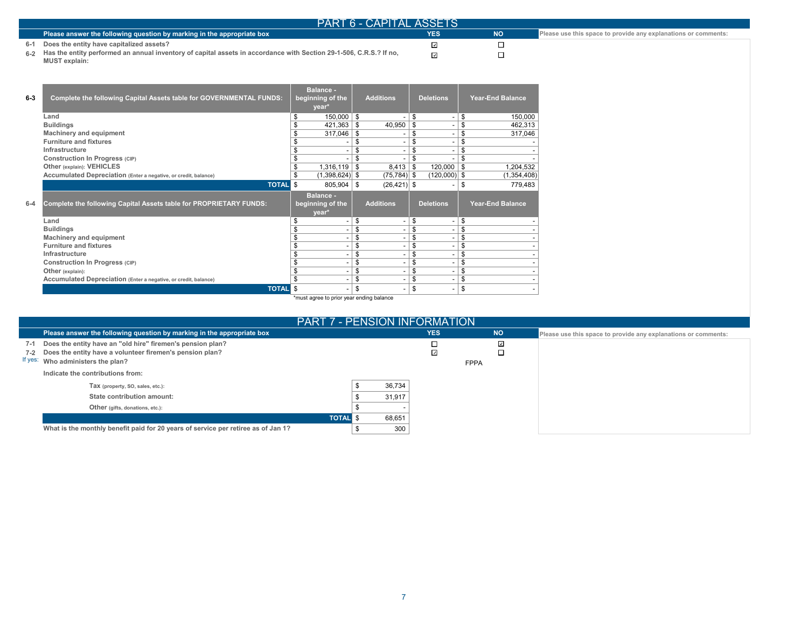| <b>PART 6 - CAPITAL ASSETS</b>                                                                                                                 |            |           |                                                                |
|------------------------------------------------------------------------------------------------------------------------------------------------|------------|-----------|----------------------------------------------------------------|
| Please answer the following question by marking in the appropriate box                                                                         | <b>YES</b> | <b>NO</b> | Please use this space to provide any explanations or comments: |
| 6-1 Does the entity have capitalized assets?                                                                                                   |            |           |                                                                |
| 6.2 Has the entity performed an annual inventory of capital assets in accordance with Section 29-1-506, C.R.S.? If no,<br><b>MUST</b> explain: |            |           |                                                                |

| $6 - 3$ | <b>Complete the following Capital Assets table for GOVERNMENTAL FUNDS:</b> | <b>Balance -</b><br>beginning of the<br>year*   |      | <b>Additions</b>         | <b>Deletions</b> | <b>Year-End Balance</b> |
|---------|----------------------------------------------------------------------------|-------------------------------------------------|------|--------------------------|------------------|-------------------------|
|         | Land                                                                       | \$<br>$150,000$   \$                            |      |                          | \$<br>٠          | \$<br>150,000           |
|         | <b>Buildings</b>                                                           | 421,363                                         | - \$ | 40,950                   | \$<br>ä,         | \$<br>462,313           |
|         | <b>Machinery and equipment</b>                                             | 317,046                                         | -\$  |                          | \$<br>٠          | \$<br>317,046           |
|         | <b>Furniture and fixtures</b>                                              |                                                 | \$   | -                        | \$<br>Ē,         | \$                      |
|         | Infrastructure                                                             |                                                 | \$   |                          | \$               | \$                      |
|         | Construction In Progress (CIP)                                             |                                                 | \$   |                          | \$               | \$                      |
|         | Other (explain): VEHICLES                                                  | $1,316,119$ \ \$                                |      | 8,413                    | \$<br>120,000    | \$<br>1,204,532         |
|         | Accumulated Depreciation (Enter a negative, or credit, balance)            | \$<br>$(1,398,624)$ \$                          |      | $(75, 784)$ \$           | $(120,000)$ \$   | (1, 354, 408)           |
|         | <b>TOTAL</b>                                                               | \$<br>$805,904$ \ \$                            |      | $(26, 421)$ \$           |                  | \$<br>779,483           |
| $6 - 4$ | <b>Complete the following Capital Assets table for PROPRIETARY FUNDS:</b>  | <b>Balance -</b><br>beginning of the<br>year*   |      | <b>Additions</b>         | <b>Deletions</b> | <b>Year-End Balance</b> |
|         | Land                                                                       | \$                                              | \$   |                          | \$<br>٠          | \$                      |
|         | <b>Buildings</b>                                                           |                                                 | \$   |                          | \$               | \$                      |
|         | Machinery and equipment                                                    |                                                 | \$   |                          | \$<br>٠          | \$                      |
|         | <b>Furniture and fixtures</b>                                              |                                                 | \$   |                          | \$<br>٠          | \$                      |
|         | Infrastructure                                                             |                                                 | \$   |                          | \$<br>٠          | \$                      |
|         | <b>Construction In Progress (CIP)</b>                                      |                                                 | \$   |                          | \$<br>٠          | \$                      |
|         | Other (explain):                                                           |                                                 | \$   |                          | \$<br>٠          | \$                      |
|         | Accumulated Depreciation (Enter a negative, or credit, balance)            |                                                 | \$   |                          | \$<br>٠          | \$                      |
|         | <b>TOTAL</b>                                                               | \$<br>traint agree to prior upor anding belongs | \$   | $\overline{\phantom{0}}$ | \$<br>-          | \$                      |

\*must agree to prior year ending balance

| PART 7 - PENSION INFORMATION'                                                                                                                                       |        |                              |             |                                                                |
|---------------------------------------------------------------------------------------------------------------------------------------------------------------------|--------|------------------------------|-------------|----------------------------------------------------------------|
| Please answer the following question by marking in the appropriate box                                                                                              |        | <b>YES</b>                   | <b>NO</b>   | Please use this space to provide any explanations or comments: |
| 7-1 Does the entity have an "old hire" firemen's pension plan?<br>7-2 Does the entity have a volunteer firemen's pension plan?<br>If yes: Who administers the plan? |        | □<br>$\overline{\mathbf{z}}$ | ☑           |                                                                |
| Indicate the contributions from:                                                                                                                                    |        |                              | <b>FPPA</b> |                                                                |
| Tax (property, SO, sales, etc.):                                                                                                                                    | 36,734 |                              |             |                                                                |
| State contribution amount:                                                                                                                                          | 31,917 |                              |             |                                                                |
| Other (gifts, donations, etc.):                                                                                                                                     |        |                              |             |                                                                |
| <b>TOTAL</b>                                                                                                                                                        | 68,651 |                              |             |                                                                |
| What is the monthly benefit paid for 20 years of service per retiree as of Jan 1?                                                                                   | 300    |                              |             |                                                                |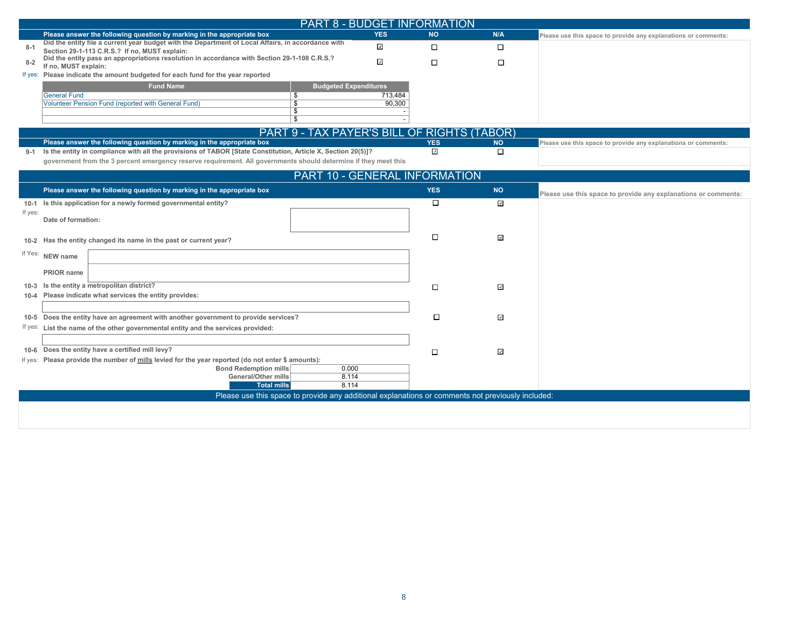|         | <b>PART 8 - BUDGET INFORMATION</b>                                                                                                                                                                                              |                         |            |                          |                                                                |
|---------|---------------------------------------------------------------------------------------------------------------------------------------------------------------------------------------------------------------------------------|-------------------------|------------|--------------------------|----------------------------------------------------------------|
|         | Please answer the following question by marking in the appropriate box                                                                                                                                                          | <b>YES</b>              | <b>NO</b>  | N/A                      | Please use this space to provide any explanations or comments: |
| $8 - 1$ | Did the entity file a current year budget with the Department of Local Affairs, in accordance with<br>Section 29-1-113 C.R.S.? If no, MUST explain:                                                                             | ⊡                       | $\Box$     | $\Box$                   |                                                                |
| $8 - 2$ | Did the entity pass an appropriations resolution in accordance with Section 29-1-108 C.R.S.?<br>If no, MUST explain:                                                                                                            | $\overline{\mathbf{z}}$ | $\Box$     | $\Box$                   |                                                                |
|         | If yes: Please indicate the amount budgeted for each fund for the year reported                                                                                                                                                 |                         |            |                          |                                                                |
|         | <b>Fund Name</b><br><b>Budgeted Expenditures</b><br><b>General Fund</b><br>\$                                                                                                                                                   | 713,484                 |            |                          |                                                                |
|         | Volunteer Pension Fund (reported with General Fund)<br>$\overline{\mathbb{S}}$                                                                                                                                                  | 90,300                  |            |                          |                                                                |
|         | \$<br>্ক                                                                                                                                                                                                                        |                         |            |                          |                                                                |
|         | PART 9 - TAX PAYER'S BILL OF RIGHTS (TABOR)                                                                                                                                                                                     |                         |            |                          |                                                                |
|         | Please answer the following question by marking in the appropriate box                                                                                                                                                          |                         | <b>YES</b> | <b>NO</b>                | Please use this space to provide any explanations or comments: |
| $9-1$   | Is the entity in compliance with all the provisions of TABOR [State Constitution, Article X, Section 20(5)]?<br>government from the 3 percent emergency reserve requirement. All governments should determine if they meet this |                         | ⊡          | $\Box$                   |                                                                |
|         | PART 10 - GENERAL INFORMATION                                                                                                                                                                                                   |                         |            |                          |                                                                |
|         | Please answer the following question by marking in the appropriate box                                                                                                                                                          |                         | <b>YES</b> | <b>NO</b>                | Please use this space to provide any explanations or comments: |
|         | 10-1 Is this application for a newly formed governmental entity?                                                                                                                                                                |                         | $\Box$     | ⊡                        |                                                                |
| If yes: | Date of formation:                                                                                                                                                                                                              |                         |            |                          |                                                                |
|         | 10-2 Has the entity changed its name in the past or current year?                                                                                                                                                               |                         | □          | $\overline{\mathcal{S}}$ |                                                                |
|         | If Yes: NEW name                                                                                                                                                                                                                |                         |            |                          |                                                                |
|         | PRIOR name                                                                                                                                                                                                                      |                         |            |                          |                                                                |
|         | 10-3 Is the entity a metropolitan district?<br>10-4 Please indicate what services the entity provides:                                                                                                                          |                         | $\Box$     | $\overline{\phantom{a}}$ |                                                                |
|         |                                                                                                                                                                                                                                 |                         |            |                          |                                                                |
|         | 10-5 Does the entity have an agreement with another government to provide services?                                                                                                                                             |                         | $\Box$     | ⊡                        |                                                                |
|         | If yes: List the name of the other governmental entity and the services provided:                                                                                                                                               |                         |            |                          |                                                                |
|         |                                                                                                                                                                                                                                 |                         |            |                          |                                                                |
|         | 10-6 Does the entity have a certified mill levy?                                                                                                                                                                                |                         | □          | $\overline{\phantom{a}}$ |                                                                |
|         | If yes: Please provide the number of mills levied for the year reported (do not enter \$ amounts):                                                                                                                              |                         |            |                          |                                                                |
|         | Bond Redemption mills<br>0.000                                                                                                                                                                                                  |                         |            |                          |                                                                |
|         | <b>General/Other mills</b><br>8.114<br><b>Total mills</b><br>8.114                                                                                                                                                              |                         |            |                          |                                                                |
|         | Please use this space to provide any additional explanations or comments not previously included:                                                                                                                               |                         |            |                          |                                                                |
|         |                                                                                                                                                                                                                                 |                         |            |                          |                                                                |
|         |                                                                                                                                                                                                                                 |                         |            |                          |                                                                |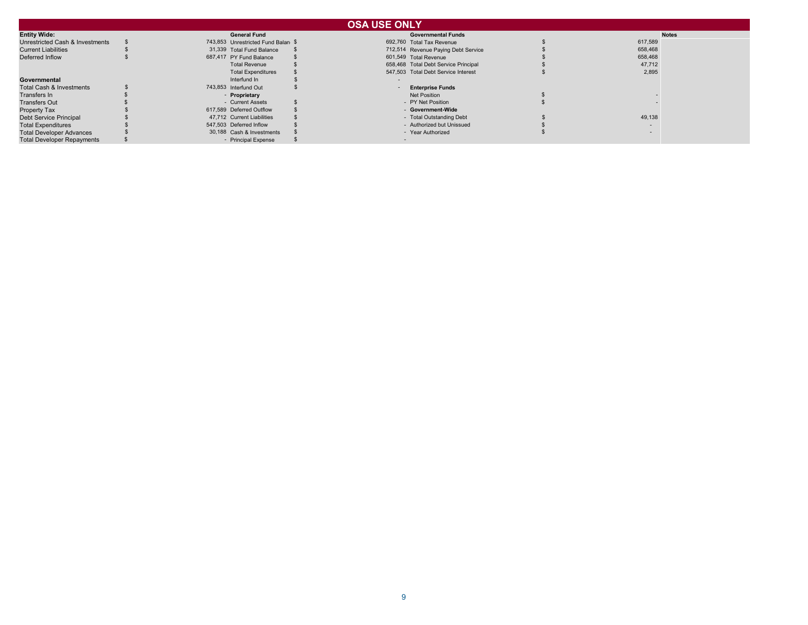|                                     |                                    | <b>OSA USE ONLY</b>                  |         |              |
|-------------------------------------|------------------------------------|--------------------------------------|---------|--------------|
| <b>Entity Wide:</b>                 | <b>General Fund</b>                | <b>Governmental Funds</b>            |         | <b>Notes</b> |
| Unrestricted Cash & Investments     | 743,853 Unrestricted Fund Balan \$ | 692,760 Total Tax Revenue            | 617,589 |              |
| <b>Current Liabilities</b>          | 31.339 Total Fund Balance          | 712,514 Revenue Paying Debt Service  | 658,468 |              |
| Deferred Inflow                     | 687,417 PY Fund Balance            | 601,549 Total Revenue                | 658,468 |              |
|                                     | <b>Total Revenue</b>               | 658,468 Total Debt Service Principal | 47,712  |              |
|                                     | <b>Total Expenditures</b>          | 547,503 Total Debt Service Interest  | 2,895   |              |
| Governmental                        | Interfund In                       |                                      |         |              |
| <b>Total Cash &amp; Investments</b> | 743,853 Interfund Out              | <b>Enterprise Funds</b>              |         |              |
| Transfers In                        | - Proprietary                      | Net Position                         |         |              |
| <b>Transfers Out</b>                | - Current Assets                   | - PY Net Position                    |         |              |
| Property Tax                        | 617.589 Deferred Outflow           | - Government-Wide                    |         |              |
| <b>Debt Service Principal</b>       | 47,712 Current Liabilities         | - Total Outstanding Debt             | 49,138  |              |
| <b>Total Expenditures</b>           | 547,503 Deferred Inflow            | - Authorized but Unissued            |         |              |
| <b>Total Developer Advances</b>     | 30,188 Cash & Investments          | - Year Authorized                    |         |              |
| <b>Total Developer Repayments</b>   | - Principal Expense                |                                      |         |              |